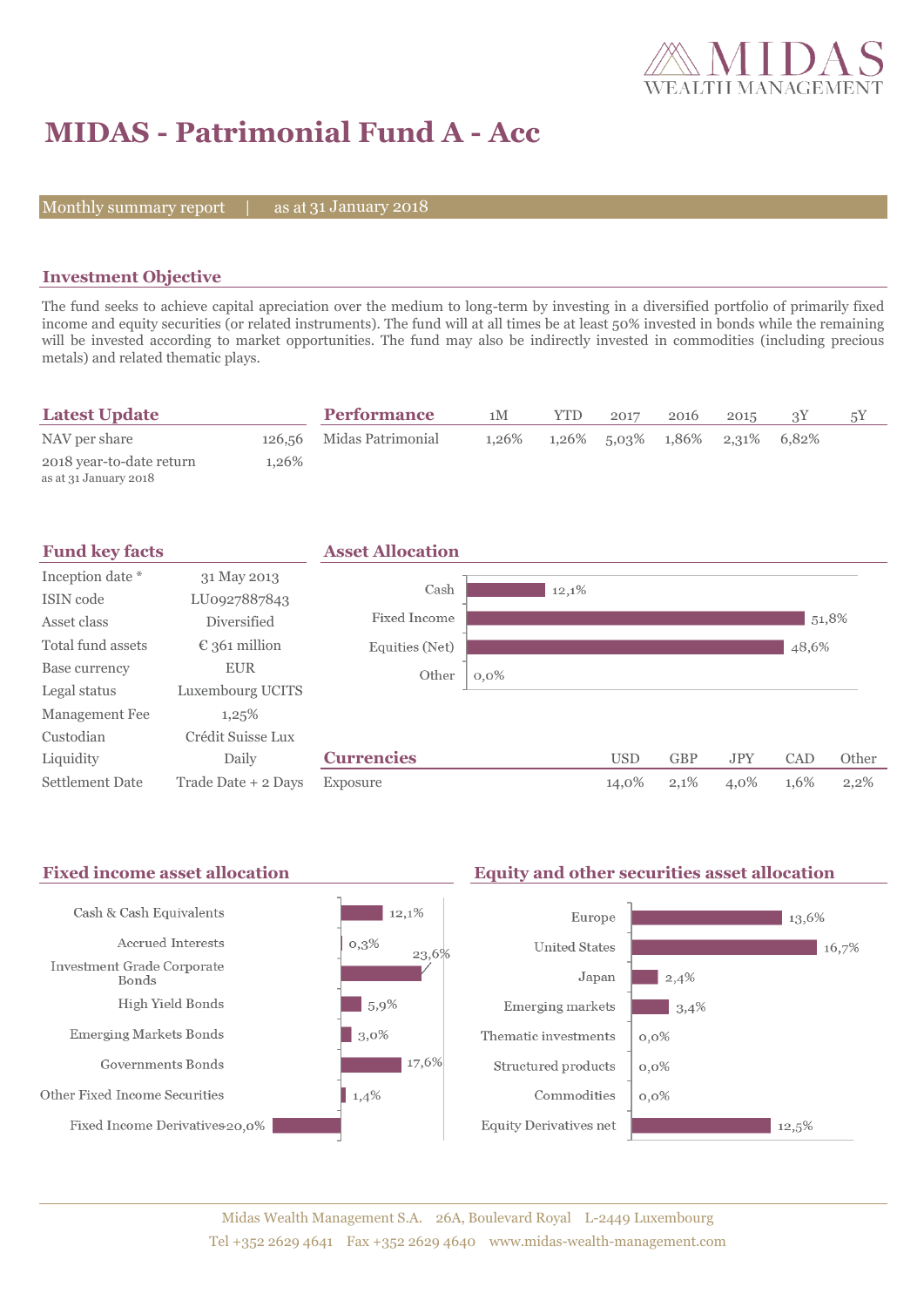

# **MIDAS - Patrimonial Fund A - Acc**

Monthly summary report  $|$ 

as at 31 January 2018

## **Investment Objective**

The fund seeks to achieve capital apreciation over the medium to long-term by investing in a diversified portfolio of primarily fixed income and equity securities (or related instruments). The fund will at all times be at least 50% invested in bonds while the remaining will be invested according to market opportunities. The fund may also be indirectly invested in commodities (including precious metals) and related thematic plays.

| <b>Latest Update</b>                              |       | <b>Performance</b>       | 1M    | YTD | 2017                                | 2016 | 2015 |  |
|---------------------------------------------------|-------|--------------------------|-------|-----|-------------------------------------|------|------|--|
| NAV per share                                     |       | 126,56 Midas Patrimonial | 1.26% |     | $1,26\%$ 5,03% $1,86\%$ 2,31% 6,82% |      |      |  |
| 2018 year-to-date return<br>as at 31 January 2018 | 1.26% |                          |       |     |                                     |      |      |  |



#### Fixed income asset allocation **Equity and other securities asset allocation** Cash & Cash Equivalents  $12,1%$ Europe  $13,6%$ Accrued Interests  $0,3\%$ **United States**  $16,7%$ 23,6% Investment Grade Corporate  $|2,4\%$ Japan Bonds High Yield Bonds  $-5,9%$ Emerging markets  $\Box$  3,4% **Emerging Markets Bonds**  $|3,0\%$ Thematic investments  $0,0\%$  $17,6%$ Governments Bonds Structured products  $0,0\%$ Other Fixed Income Securities  $1,4%$ Commodities  $0.0\%$ Fixed Income Derivatives 20,0% **Equity Derivatives net**  $12,5\%$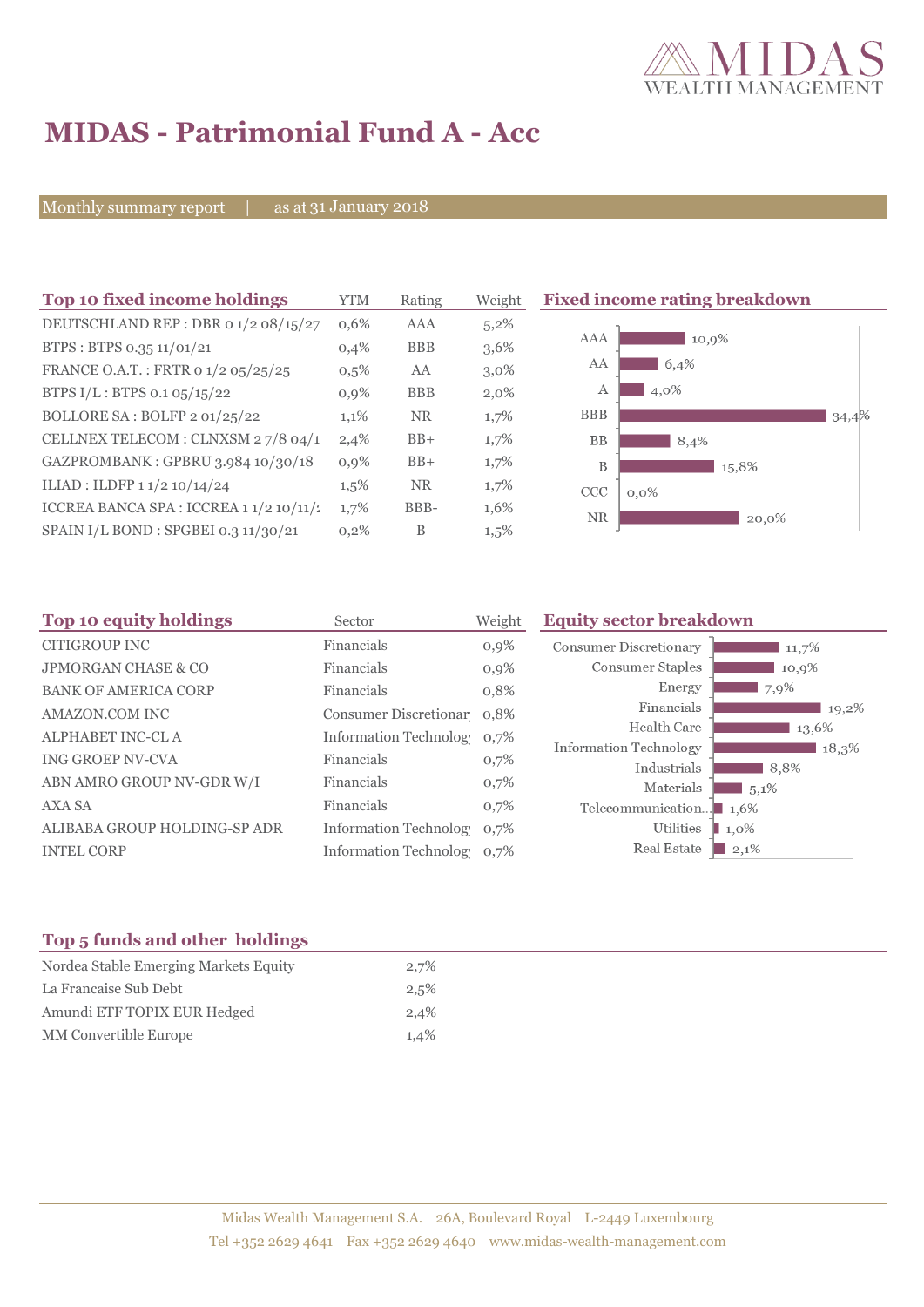

# **MIDAS - Patrimonial Fund A - Acc**

Monthly summary report | as at 31 January 2018

| Top 10 fixed income holdings                 | <b>YTM</b> | Rating     | Weight  | <b>Fixed income rating breakdown</b> |       |
|----------------------------------------------|------------|------------|---------|--------------------------------------|-------|
| DEUTSCHLAND REP : DBR 0 1/2 08/15/27         | 0,6%       | <b>AAA</b> | $5,2\%$ |                                      |       |
| BTPS: BTPS 0.35 11/01/21                     | 0,4%       | <b>BBB</b> | 3,6%    | AAA<br>10,9%                         |       |
| FRANCE O.A.T.: FRTR 0 1/2 05/25/25           | $0,5\%$    | AA         | $3,0\%$ | AA<br>6,4%                           |       |
| BTPS I/L : BTPS 0.1 05/15/22                 | $0.9\%$    | <b>BBB</b> | $2,0\%$ | 4,0%<br>А                            |       |
| BOLLORE SA: BOLFP 2 01/25/22                 | 1,1%       | <b>NR</b>  | 1,7%    | <b>BBB</b>                           | 34,4% |
| CELLNEX TELECOM : CLNXSM 27/8 04/1           | 2,4%       | $BB+$      | 1,7%    | <b>BB</b><br>8,4%                    |       |
| GAZPROMBANK: GPBRU 3.984 10/30/18            | $0,9\%$    | $BB+$      | 1,7%    | B<br>15,8%                           |       |
| ILIAD : ILDFP 1 1/2 10/14/24                 | $1,5\%$    | <b>NR</b>  | 1,7%    | CCC<br>$0,0\%$                       |       |
| ICCREA BANCA SPA : ICCREA 1 $1/2$ 10 $/11/2$ | 1,7%       | BBB-       | 1,6%    | <b>NR</b><br>20,0%                   |       |
| SPAIN I/L BOND : SPGBEI 0.3 11/30/21         | 0,2%       | B          | $1,5\%$ |                                      |       |
|                                              |            |            |         |                                      |       |

| Top 10 equity holdings         | Sector                     | Weight  | <b>Equity sector breakdown</b> |                     |
|--------------------------------|----------------------------|---------|--------------------------------|---------------------|
| <b>CITIGROUP INC</b>           | Financials                 | $0,9\%$ | <b>Consumer Discretionary</b>  | 11,7%               |
| <b>JPMORGAN CHASE &amp; CO</b> | Financials                 | 0,9%    | Consumer Staples               | 10,9%               |
| <b>BANK OF AMERICA CORP</b>    | Financials                 | 0,8%    | Energy                         | 7,9%                |
| AMAZON.COM INC                 | Consumer Discretionar 0.8% |         | Financials                     | 19,2%               |
| ALPHABET INC-CL A              | Information Technolog 0,7% |         | Health Care                    | 13,6%               |
| <b>ING GROEP NV-CVA</b>        | Financials                 |         | Information Technology         | 18,3%               |
|                                |                            | 0,7%    | Industrials                    | 8,8%                |
| ABN AMRO GROUP NV-GDR W/I      | Financials                 | 0,7%    | Materials                      | $5,1\%$             |
| AXA SA                         | Financials                 | 0,7%    | Telecommunication              | $\blacksquare$ 1.6% |
| ALIBABA GROUP HOLDING-SP ADR   | Information Technolog 0,7% |         | Utilities                      | 1,0%                |
| <b>INTEL CORP</b>              | Information Technolog 0,7% |         | Real Estate                    | $2,1\%$             |

# **Top 5 funds and other holdings**

| Nordea Stable Emerging Markets Equity | 2,7% |
|---------------------------------------|------|
| La Francaise Sub Debt                 | 2,5% |
| Amundi ETF TOPIX EUR Hedged           | 2,4% |
| MM Convertible Europe                 | 1,4% |